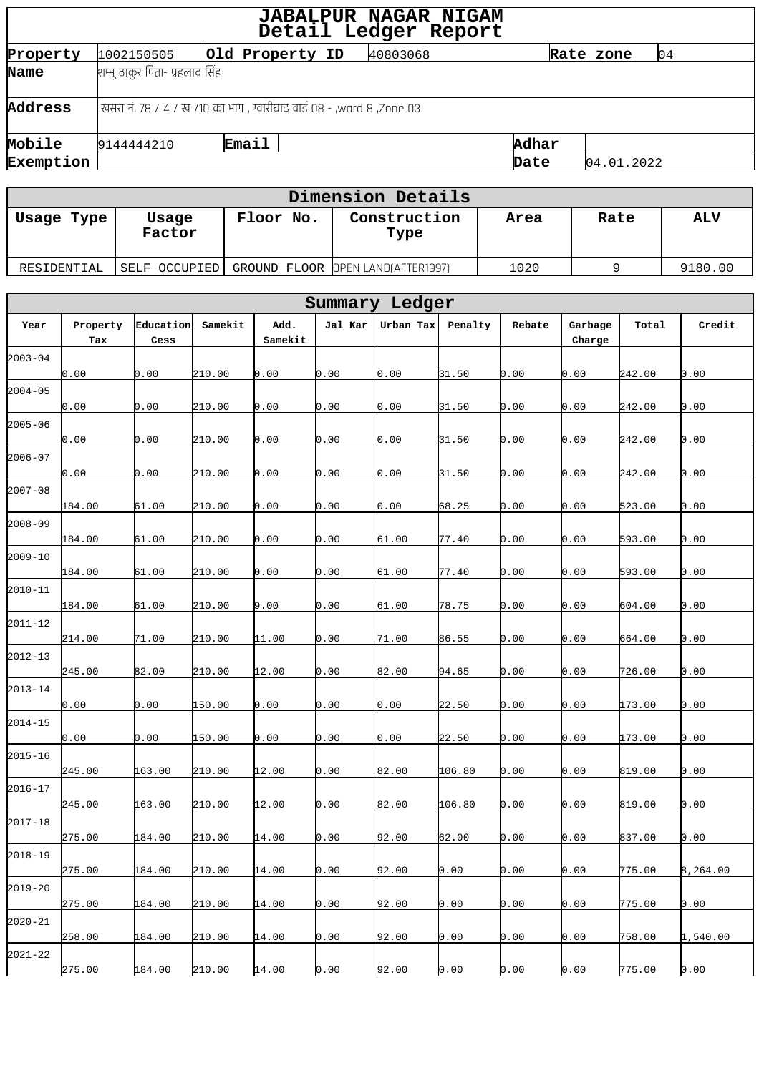| <b>JABALPUR NAGAR NIGAM</b><br>Detail Ledger Report |                                                                         |                                |  |          |       |  |            |    |  |  |  |
|-----------------------------------------------------|-------------------------------------------------------------------------|--------------------------------|--|----------|-------|--|------------|----|--|--|--|
| Property                                            | 1002150505                                                              | Old Property ID                |  | 40803068 |       |  | Rate zone  | 04 |  |  |  |
| Name                                                |                                                                         | शम्भू ठाकुर पिता- प्रहलाद सिंह |  |          |       |  |            |    |  |  |  |
| Address                                             | रवसरा नं. ७८ / ४ / ख /१० का भाग , ग्वारीघाट वार्ड ०८ - ,ward ८ ,Zone ०३ |                                |  |          |       |  |            |    |  |  |  |
| Mobile                                              | 9144444210                                                              | <b>Email</b>                   |  |          | Adhar |  |            |    |  |  |  |
| Exemption                                           |                                                                         |                                |  |          | Date  |  | 04.01.2022 |    |  |  |  |
|                                                     |                                                                         |                                |  |          |       |  |            |    |  |  |  |

| Dimension Details |                 |           |                                   |      |      |            |  |  |  |  |
|-------------------|-----------------|-----------|-----------------------------------|------|------|------------|--|--|--|--|
| Usage Type        | Usage<br>Factor | Floor No. | Construction<br>Type              | Area | Rate | <b>ALV</b> |  |  |  |  |
| RESIDENTIAL       | SELF OCCUPIED   |           | GROUND FLOOR OPEN LAND(AFTER1997) | 1020 |      | 9180.00    |  |  |  |  |

| Summary Ledger |                 |                   |         |                 |         |           |         |        |                   |        |          |
|----------------|-----------------|-------------------|---------|-----------------|---------|-----------|---------|--------|-------------------|--------|----------|
| Year           | Property<br>Tax | Education<br>Cess | Samekit | Add.<br>Samekit | Jal Kar | Urban Tax | Penalty | Rebate | Garbage<br>Charge | Total  | Credit   |
| $2003 - 04$    | 0.00            | 0.00              | 210.00  | 0.00            | 0.00    | 0.00      | 31.50   | 0.00   | 0.00              | 242.00 | 0.00     |
| $2004 - 05$    | 0.00            | 0.00              | 210.00  | 0.00            | 0.00    | 0.00      | 31.50   | 0.00   | 0.00              | 242.00 | 0.00     |
| $2005 - 06$    |                 |                   |         |                 |         |           |         |        |                   |        |          |
| $2006 - 07$    | 0.00            | 0.00              | 210.00  | 0.00            | 0.00    | 0.00      | 31.50   | 0.00   | 0.00              | 242.00 | 0.00     |
| $2007 - 08$    | 0.00            | 0.00              | 210.00  | 0.00            | 0.00    | 0.00      | 31.50   | 0.00   | 0.00              | 242.00 | 0.00     |
| $2008 - 09$    | 184.00          | 61.00             | 210.00  | 0.00            | 0.00    | 0.00      | 68.25   | 0.00   | 0.00              | 523.00 | 0.00     |
| $2009 - 10$    | 184.00          | 61.00             | 210.00  | 0.00            | 0.00    | 61.00     | 77.40   | 0.00   | 0.00              | 593.00 | 0.00     |
| $2010 - 11$    | 184.00          | 61.00             | 210.00  | 0.00            | 0.00    | 61.00     | 77.40   | 0.00   | 0.00              | 593.00 | 0.00     |
| $2011 - 12$    | 184.00          | 61.00             | 210.00  | 9.00            | 0.00    | 61.00     | 78.75   | 0.00   | 0.00              | 604.00 | 0.00     |
| $2012 - 13$    | 214.00          | 71.00             | 210.00  | 11.00           | 0.00    | 71.00     | 86.55   | 0.00   | 0.00              | 664.00 | 0.00     |
|                | 245.00          | 82.00             | 210.00  | 12.00           | 0.00    | 82.00     | 94.65   | 0.00   | 0.00              | 726.00 | 0.00     |
| $2013 - 14$    | 0.00            | 0.00              | 150.00  | 0.00            | 0.00    | 0.00      | 22.50   | 0.00   | 0.00              | 173.00 | 0.00     |
| $2014 - 15$    | 0.00            | 0.00              | 150.00  | 0.00            | 0.00    | 0.00      | 22.50   | 0.00   | 0.00              | 173.00 | 0.00     |
| $2015 - 16$    | 245.00          | 163.00            | 210.00  | 12.00           | 0.00    | 82.00     | 106.80  | 0.00   | 0.00              | 819.00 | 0.00     |
| $2016 - 17$    | 245.00          | 163.00            | 210.00  | 12.00           | 0.00    | 82.00     | 106.80  | 0.00   | 0.00              | 819.00 | 0.00     |
| $2017 - 18$    | 275.00          | 184.00            | 210.00  | 14.00           | 0.00    | 92.00     | 62.00   | 0.00   | 0.00              | 837.00 | 0.00     |
| $2018 - 19$    | 275.00          | 184.00            | 210.00  | 14.00           | 0.00    | 92.00     | 0.00    | 0.00   | 0.00              | 775.00 | 8,264.00 |
| $2019 - 20$    | 275.00          | 184.00            | 210.00  | 14.00           | 0.00    | 92.00     | 0.00    | 0.00   | 0.00              | 775.00 | 0.00     |
| $2020 - 21$    | 258.00          | 184.00            | 210.00  | 14.00           | 0.00    | 92.00     | 0.00    | 0.00   | 0.00              | 758.00 | 1,540.00 |
| $2021 - 22$    |                 |                   |         |                 |         |           |         |        |                   | 775.00 | 0.00     |
|                | 275.00          | 184.00            | 210.00  | 14.00           | 0.00    | 92.00     | 0.00    | 0.00   | 0.00              |        |          |